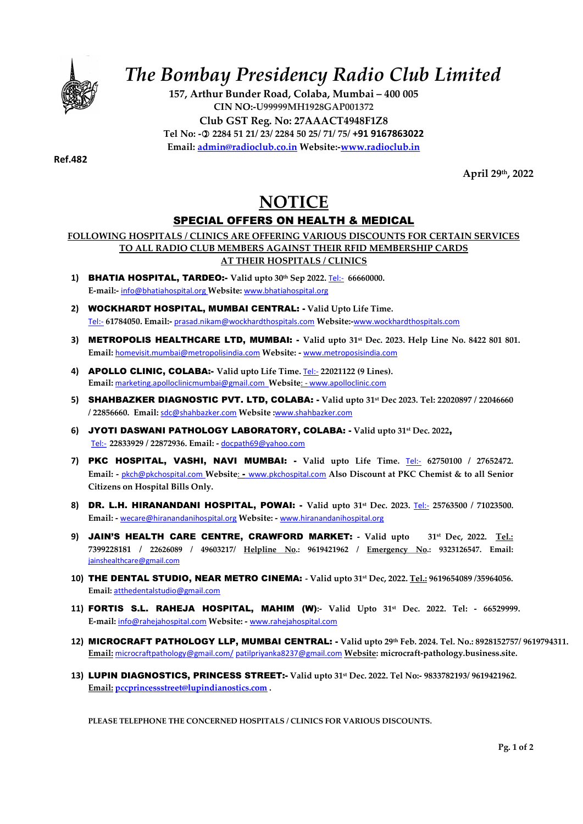

# The Bombay Presidency Radio Club Limited

157, Arthur Bunder Road, Colaba, Mumbai – 400 005 CIN NO:-U99999MH1928GAP001372 Club GST Reg. No: 27AAACT4948F1Z8 Tel No: - 2284 51 21/ 23/ 2284 50 25/ 71/ 75/ +91 9167863022 Email: admin@radioclub.co.in Website:-www.radioclub.in

Ref.482

April 29th, 2022

### **NOTICE** SPECIAL OFFERS ON HEALTH & MEDICAL

#### FOLLOWING HOSPITALS / CLINICS ARE OFFERING VARIOUS DISCOUNTS FOR CERTAIN SERVICES TO ALL RADIO CLUB MEMBERS AGAINST THEIR RFID MEMBERSHIP CARDS AT THEIR HOSPITALS / CLINICS

- 1) BHATIA HOSPITAL, TARDEO: Valid upto  $30<sup>th</sup>$  Sep 2022. Tel: 66660000. E-mail:- info@bhatiahospital.org Website: www.bhatiahospital.org
- 2) WOCKHARDT HOSPITAL, MUMBAI CENTRAL: Valid Upto Life Time. Tel:- 61784050. Email:- prasad.nikam@wockhardthospitals.com Website:-www.wockhardthospitals.com
- 3) METROPOLIS HEALTHCARE LTD, MUMBAI:  $\sim$  Valid upto 31st Dec. 2023. Help Line No. 8422 801 801. Email: homevisit.mumbai@metropolisindia.com Website: - www.metroposisindia.com
- 4) **APOLLO CLINIC, COLABA:-** Valid upto Life Time. Tel:- 22021122 (9 Lines). Email: marketing.apolloclinicmumbai@gmail.com Website: - www.apolloclinic.com
- 5) SHAHBAZKER DIAGNOSTIC PVT. LTD, COLABA: Valid upto 31st Dec 2023. Tel: 22020897 / 22046660 / 22856660. Email: sdc@shahbazker.com Website :www.shahbazker.com
- 6) JYOTI DASWANI PATHOLOGY LABORATORY, COLABA: Valid upto 31st Dec. 2022, Tel:- 22833929 / 22872936. Email: - docpath69@yahoo.com
- 7) PKC HOSPITAL, VASHI, NAVI MUMBAI: Valid upto Life Time.  $Tei:= 62750100 / 27652472$ . Email: - pkch@pkchospital.com Website: - www.pkchospital.com Also Discount at PKC Chemist & to all Senior Citizens on Hospital Bills Only.
- 8) DR. L.H. HIRANANDANI HOSPITAL, POWAI: Valid upto  $31<sup>st</sup>$  Dec. 2023. Tel:- 25763500 / 71023500. Email: - wecare@hiranandanihospital.org Website: - www.hiranandanihospital.org
- 9) JAIN'S HEALTH CARE CENTRE, CRAWFORD MARKET: Valid upto 31st Dec, 2022. Tel.: 7399228181 / 22626089 / 49603217/ Helpline No.: 9619421962 / Emergency No.: 9323126547. Email: jainshealthcare@gmail.com
- 10) THE DENTAL STUDIO, NEAR METRO CINEMA: Valid upto 31st Dec, 2022. Tel.: 9619654089 /35964056. Email: atthedentalstudio@gmail.com
- 11) FORTIS S.L. RAHEJA HOSPITAL, MAHIM (W):- Valid Upto 31st Dec. 2022. Tel: 66529999. E-mail: info@rahejahospital.com Website: - www.rahejahospital.com
- 12) MICROCRAFT PATHOLOGY LLP, MUMBAI CENTRAL: Valid upto 29th Feb. 2024. Tel. No.: 8928152757/ 9619794311. Email: microcraftpathology@gmail.com/ patilpriyanka8237@gmail.com Website: microcraft-pathology.business.site.
- 13) LUPIN DIAGNOSTICS, PRINCESS STREET:- Valid upto 31<sup>st</sup> Dec. 2022. Tel No:- 9833782193/ 9619421962. Email: pccprincessstreet@lupindianostics.com .

PLEASE TELEPHONE THE CONCERNED HOSPITALS / CLINICS FOR VARIOUS DISCOUNTS.